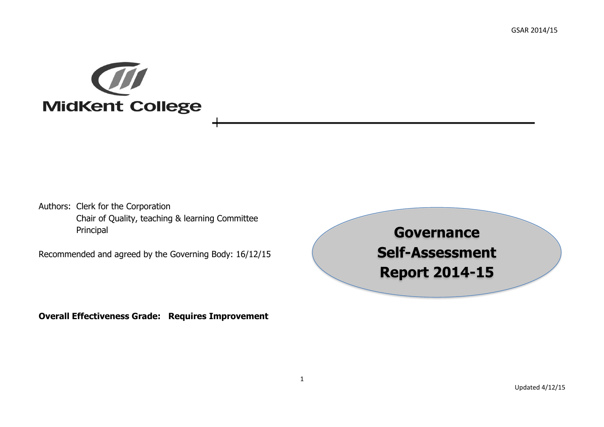

Authors: Clerk for the Corporation Chair of Quality, teaching & learning Committee Principal

Recommended and agreed by the Governing Body: 16/12/15

**Overall Effectiveness Grade: Requires Improvement**

**Governance Self-Assessment Report 2014-15**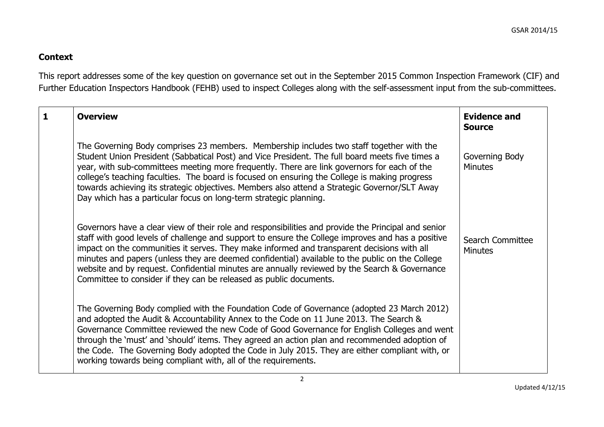## **Context**

This report addresses some of the key question on governance set out in the September 2015 Common Inspection Framework (CIF) and Further Education Inspectors Handbook (FEHB) used to inspect Colleges along with the self-assessment input from the sub-committees.

| $\mathbf{1}$ | <b>Overview</b>                                                                                                                                                                                                                                                                                                                                                                                                                                                                                                                                                                  | <b>Evidence and</b><br><b>Source</b> |
|--------------|----------------------------------------------------------------------------------------------------------------------------------------------------------------------------------------------------------------------------------------------------------------------------------------------------------------------------------------------------------------------------------------------------------------------------------------------------------------------------------------------------------------------------------------------------------------------------------|--------------------------------------|
|              | The Governing Body comprises 23 members. Membership includes two staff together with the<br>Student Union President (Sabbatical Post) and Vice President. The full board meets five times a<br>year, with sub-committees meeting more frequently. There are link governors for each of the<br>college's teaching faculties. The board is focused on ensuring the College is making progress<br>towards achieving its strategic objectives. Members also attend a Strategic Governor/SLT Away<br>Day which has a particular focus on long-term strategic planning.                | Governing Body<br><b>Minutes</b>     |
|              | Governors have a clear view of their role and responsibilities and provide the Principal and senior<br>staff with good levels of challenge and support to ensure the College improves and has a positive<br>impact on the communities it serves. They make informed and transparent decisions with all<br>minutes and papers (unless they are deemed confidential) available to the public on the College<br>website and by request. Confidential minutes are annually reviewed by the Search & Governance<br>Committee to consider if they can be released as public documents. | Search Committee<br><b>Minutes</b>   |
|              | The Governing Body complied with the Foundation Code of Governance (adopted 23 March 2012)<br>and adopted the Audit & Accountability Annex to the Code on 11 June 2013. The Search &<br>Governance Committee reviewed the new Code of Good Governance for English Colleges and went<br>through the 'must' and 'should' items. They agreed an action plan and recommended adoption of<br>the Code. The Governing Body adopted the Code in July 2015. They are either compliant with, or<br>working towards being compliant with, all of the requirements.                         |                                      |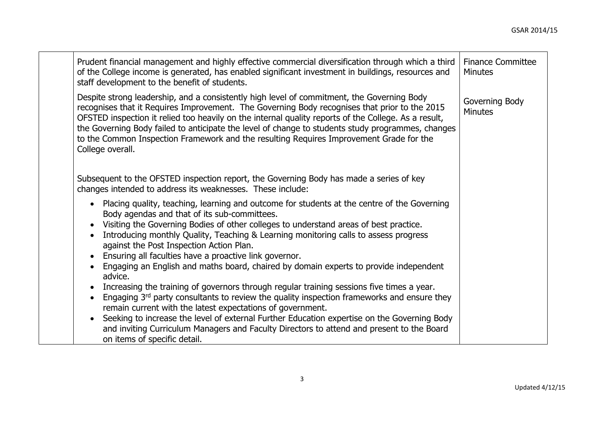| Prudent financial management and highly effective commercial diversification through which a third<br>of the College income is generated, has enabled significant investment in buildings, resources and<br>staff development to the benefit of students.                                                                                                                                                                                                                                                               | <b>Finance Committee</b><br><b>Minutes</b> |
|-------------------------------------------------------------------------------------------------------------------------------------------------------------------------------------------------------------------------------------------------------------------------------------------------------------------------------------------------------------------------------------------------------------------------------------------------------------------------------------------------------------------------|--------------------------------------------|
| Despite strong leadership, and a consistently high level of commitment, the Governing Body<br>recognises that it Requires Improvement. The Governing Body recognises that prior to the 2015<br>OFSTED inspection it relied too heavily on the internal quality reports of the College. As a result,<br>the Governing Body failed to anticipate the level of change to students study programmes, changes<br>to the Common Inspection Framework and the resulting Requires Improvement Grade for the<br>College overall. | Governing Body<br><b>Minutes</b>           |
| Subsequent to the OFSTED inspection report, the Governing Body has made a series of key<br>changes intended to address its weaknesses. These include:                                                                                                                                                                                                                                                                                                                                                                   |                                            |
| Placing quality, teaching, learning and outcome for students at the centre of the Governing<br>Body agendas and that of its sub-committees.<br>Visiting the Governing Bodies of other colleges to understand areas of best practice.                                                                                                                                                                                                                                                                                    |                                            |
| Introducing monthly Quality, Teaching & Learning monitoring calls to assess progress<br>against the Post Inspection Action Plan.                                                                                                                                                                                                                                                                                                                                                                                        |                                            |
| Ensuring all faculties have a proactive link governor.<br>Engaging an English and maths board, chaired by domain experts to provide independent<br>advice.                                                                                                                                                                                                                                                                                                                                                              |                                            |
| Increasing the training of governors through regular training sessions five times a year.<br>Engaging 3 <sup>rd</sup> party consultants to review the quality inspection frameworks and ensure they<br>remain current with the latest expectations of government.                                                                                                                                                                                                                                                       |                                            |
| Seeking to increase the level of external Further Education expertise on the Governing Body<br>and inviting Curriculum Managers and Faculty Directors to attend and present to the Board<br>on items of specific detail.                                                                                                                                                                                                                                                                                                |                                            |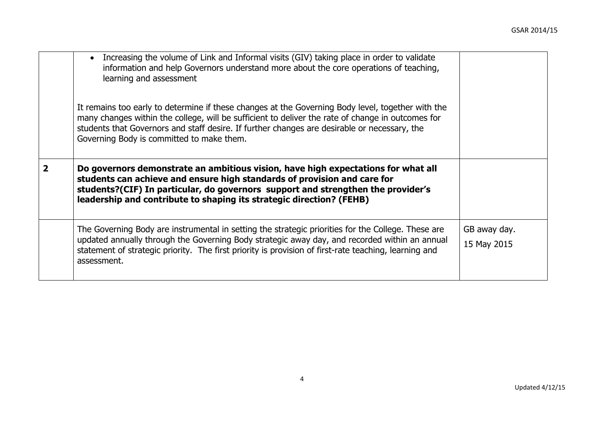|   | Increasing the volume of Link and Informal visits (GIV) taking place in order to validate<br>information and help Governors understand more about the core operations of teaching,<br>learning and assessment<br>It remains too early to determine if these changes at the Governing Body level, together with the<br>many changes within the college, will be sufficient to deliver the rate of change in outcomes for<br>students that Governors and staff desire. If further changes are desirable or necessary, the<br>Governing Body is committed to make them. |                             |
|---|----------------------------------------------------------------------------------------------------------------------------------------------------------------------------------------------------------------------------------------------------------------------------------------------------------------------------------------------------------------------------------------------------------------------------------------------------------------------------------------------------------------------------------------------------------------------|-----------------------------|
| 2 | Do governors demonstrate an ambitious vision, have high expectations for what all<br>students can achieve and ensure high standards of provision and care for<br>students?(CIF) In particular, do governors support and strengthen the provider's<br>leadership and contribute to shaping its strategic direction? (FEHB)                                                                                                                                                                                                                                            |                             |
|   | The Governing Body are instrumental in setting the strategic priorities for the College. These are<br>updated annually through the Governing Body strategic away day, and recorded within an annual<br>statement of strategic priority. The first priority is provision of first-rate teaching, learning and<br>assessment.                                                                                                                                                                                                                                          | GB away day.<br>15 May 2015 |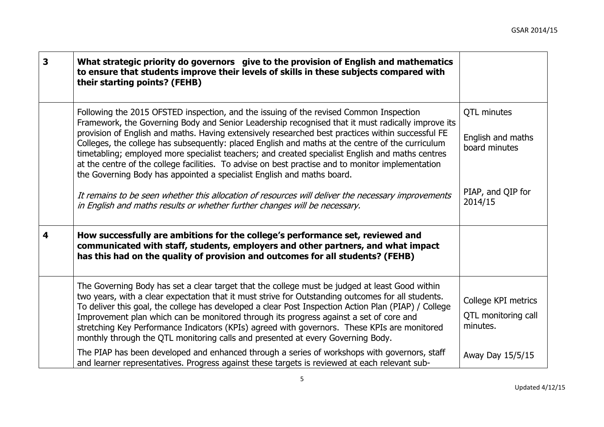| $\overline{\mathbf{3}}$ | What strategic priority do governors give to the provision of English and mathematics<br>to ensure that students improve their levels of skills in these subjects compared with<br>their starting points? (FEHB)                                                                                                                                                                                                                                                                                                                                                                                                                                                                        |                                                        |
|-------------------------|-----------------------------------------------------------------------------------------------------------------------------------------------------------------------------------------------------------------------------------------------------------------------------------------------------------------------------------------------------------------------------------------------------------------------------------------------------------------------------------------------------------------------------------------------------------------------------------------------------------------------------------------------------------------------------------------|--------------------------------------------------------|
|                         | Following the 2015 OFSTED inspection, and the issuing of the revised Common Inspection<br>Framework, the Governing Body and Senior Leadership recognised that it must radically improve its<br>provision of English and maths. Having extensively researched best practices within successful FE<br>Colleges, the college has subsequently: placed English and maths at the centre of the curriculum<br>timetabling; employed more specialist teachers; and created specialist English and maths centres<br>at the centre of the college facilities. To advise on best practise and to monitor implementation<br>the Governing Body has appointed a specialist English and maths board. | QTL minutes<br>English and maths<br>board minutes      |
|                         | It remains to be seen whether this allocation of resources will deliver the necessary improvements<br>in English and maths results or whether further changes will be necessary.                                                                                                                                                                                                                                                                                                                                                                                                                                                                                                        | PIAP, and QIP for<br>2014/15                           |
| $\overline{\mathbf{4}}$ | How successfully are ambitions for the college's performance set, reviewed and<br>communicated with staff, students, employers and other partners, and what impact<br>has this had on the quality of provision and outcomes for all students? (FEHB)                                                                                                                                                                                                                                                                                                                                                                                                                                    |                                                        |
|                         | The Governing Body has set a clear target that the college must be judged at least Good within<br>two years, with a clear expectation that it must strive for Outstanding outcomes for all students.<br>To deliver this goal, the college has developed a clear Post Inspection Action Plan (PIAP) / College<br>Improvement plan which can be monitored through its progress against a set of core and<br>stretching Key Performance Indicators (KPIs) agreed with governors. These KPIs are monitored<br>monthly through the QTL monitoring calls and presented at every Governing Body.                                                                                               | College KPI metrics<br>QTL monitoring call<br>minutes. |
|                         | The PIAP has been developed and enhanced through a series of workshops with governors, staff<br>and learner representatives. Progress against these targets is reviewed at each relevant sub-                                                                                                                                                                                                                                                                                                                                                                                                                                                                                           | Away Day 15/5/15                                       |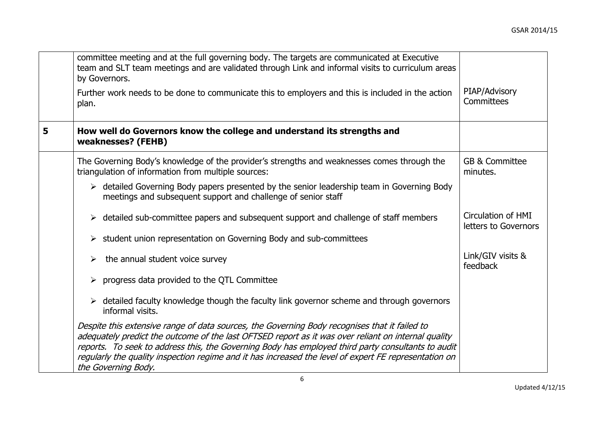|   | committee meeting and at the full governing body. The targets are communicated at Executive<br>team and SLT team meetings and are validated through Link and informal visits to curriculum areas<br>by Governors.<br>Further work needs to be done to communicate this to employers and this is included in the action<br>plan.                                                                                                            | PIAP/Advisory<br>Committees                |
|---|--------------------------------------------------------------------------------------------------------------------------------------------------------------------------------------------------------------------------------------------------------------------------------------------------------------------------------------------------------------------------------------------------------------------------------------------|--------------------------------------------|
| 5 | How well do Governors know the college and understand its strengths and<br>weaknesses? (FEHB)                                                                                                                                                                                                                                                                                                                                              |                                            |
|   | The Governing Body's knowledge of the provider's strengths and weaknesses comes through the<br>triangulation of information from multiple sources:                                                                                                                                                                                                                                                                                         | <b>GB &amp; Committee</b><br>minutes.      |
|   | $\triangleright$ detailed Governing Body papers presented by the senior leadership team in Governing Body<br>meetings and subsequent support and challenge of senior staff                                                                                                                                                                                                                                                                 |                                            |
|   | $\triangleright$ detailed sub-committee papers and subsequent support and challenge of staff members                                                                                                                                                                                                                                                                                                                                       | Circulation of HMI<br>letters to Governors |
|   | student union representation on Governing Body and sub-committees<br>➤                                                                                                                                                                                                                                                                                                                                                                     |                                            |
|   | the annual student voice survey<br>➤                                                                                                                                                                                                                                                                                                                                                                                                       | Link/GIV visits &<br>feedback              |
|   | $\triangleright$ progress data provided to the QTL Committee                                                                                                                                                                                                                                                                                                                                                                               |                                            |
|   | $\triangleright$ detailed faculty knowledge though the faculty link governor scheme and through governors<br>informal visits.                                                                                                                                                                                                                                                                                                              |                                            |
|   | Despite this extensive range of data sources, the Governing Body recognises that it failed to<br>adequately predict the outcome of the last OFTSED report as it was over reliant on internal quality<br>reports. To seek to address this, the Governing Body has employed third party consultants to audit<br>regularly the quality inspection regime and it has increased the level of expert FE representation on<br>the Governing Body. |                                            |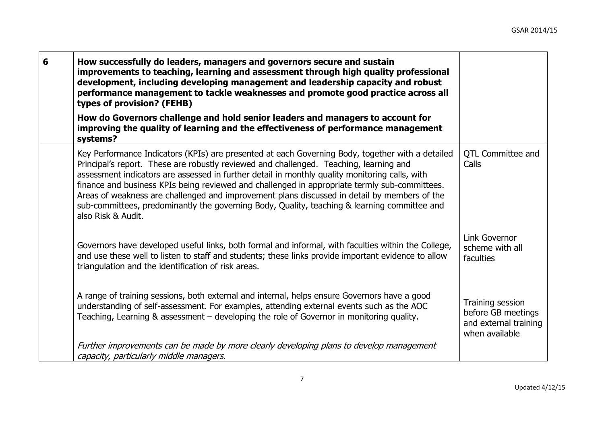| 6 | How successfully do leaders, managers and governors secure and sustain<br>improvements to teaching, learning and assessment through high quality professional<br>development, including developing management and leadership capacity and robust<br>performance management to tackle weaknesses and promote good practice across all<br>types of provision? (FEHB)<br>How do Governors challenge and hold senior leaders and managers to account for                                                                                                                                                                |                                                                                   |
|---|---------------------------------------------------------------------------------------------------------------------------------------------------------------------------------------------------------------------------------------------------------------------------------------------------------------------------------------------------------------------------------------------------------------------------------------------------------------------------------------------------------------------------------------------------------------------------------------------------------------------|-----------------------------------------------------------------------------------|
|   | improving the quality of learning and the effectiveness of performance management<br>systems?                                                                                                                                                                                                                                                                                                                                                                                                                                                                                                                       |                                                                                   |
|   | Key Performance Indicators (KPIs) are presented at each Governing Body, together with a detailed<br>Principal's report. These are robustly reviewed and challenged. Teaching, learning and<br>assessment indicators are assessed in further detail in monthly quality monitoring calls, with<br>finance and business KPIs being reviewed and challenged in appropriate termly sub-committees.<br>Areas of weakness are challenged and improvement plans discussed in detail by members of the<br>sub-committees, predominantly the governing Body, Quality, teaching & learning committee and<br>also Risk & Audit. | <b>QTL Committee and</b><br>Calls                                                 |
|   | Governors have developed useful links, both formal and informal, with faculties within the College,<br>and use these well to listen to staff and students; these links provide important evidence to allow<br>triangulation and the identification of risk areas.                                                                                                                                                                                                                                                                                                                                                   | Link Governor<br>scheme with all<br>faculties                                     |
|   | A range of training sessions, both external and internal, helps ensure Governors have a good<br>understanding of self-assessment. For examples, attending external events such as the AOC<br>Teaching, Learning & assessment - developing the role of Governor in monitoring quality.                                                                                                                                                                                                                                                                                                                               | Training session<br>before GB meetings<br>and external training<br>when available |
|   | Further improvements can be made by more clearly developing plans to develop management<br>capacity, particularly middle managers.                                                                                                                                                                                                                                                                                                                                                                                                                                                                                  |                                                                                   |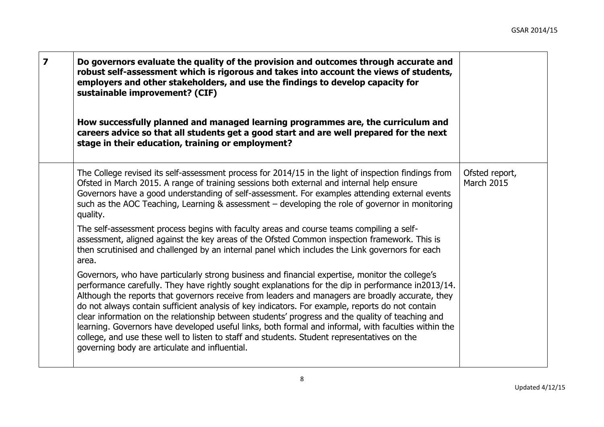| $\overline{\mathbf{z}}$ | Do governors evaluate the quality of the provision and outcomes through accurate and<br>robust self-assessment which is rigorous and takes into account the views of students,<br>employers and other stakeholders, and use the findings to develop capacity for<br>sustainable improvement? (CIF)<br>How successfully planned and managed learning programmes are, the curriculum and<br>careers advice so that all students get a good start and are well prepared for the next<br>stage in their education, training or employment?                                                                                                                                                                                                                                     |                              |
|-------------------------|----------------------------------------------------------------------------------------------------------------------------------------------------------------------------------------------------------------------------------------------------------------------------------------------------------------------------------------------------------------------------------------------------------------------------------------------------------------------------------------------------------------------------------------------------------------------------------------------------------------------------------------------------------------------------------------------------------------------------------------------------------------------------|------------------------------|
|                         | The College revised its self-assessment process for 2014/15 in the light of inspection findings from<br>Ofsted in March 2015. A range of training sessions both external and internal help ensure<br>Governors have a good understanding of self-assessment. For examples attending external events<br>such as the AOC Teaching, Learning & assessment – developing the role of governor in monitoring<br>quality.                                                                                                                                                                                                                                                                                                                                                         | Ofsted report,<br>March 2015 |
|                         | The self-assessment process begins with faculty areas and course teams compiling a self-<br>assessment, aligned against the key areas of the Ofsted Common inspection framework. This is<br>then scrutinised and challenged by an internal panel which includes the Link governors for each<br>area.                                                                                                                                                                                                                                                                                                                                                                                                                                                                       |                              |
|                         | Governors, who have particularly strong business and financial expertise, monitor the college's<br>performance carefully. They have rightly sought explanations for the dip in performance in2013/14.<br>Although the reports that governors receive from leaders and managers are broadly accurate, they<br>do not always contain sufficient analysis of key indicators. For example, reports do not contain<br>clear information on the relationship between students' progress and the quality of teaching and<br>learning. Governors have developed useful links, both formal and informal, with faculties within the<br>college, and use these well to listen to staff and students. Student representatives on the<br>governing body are articulate and influential. |                              |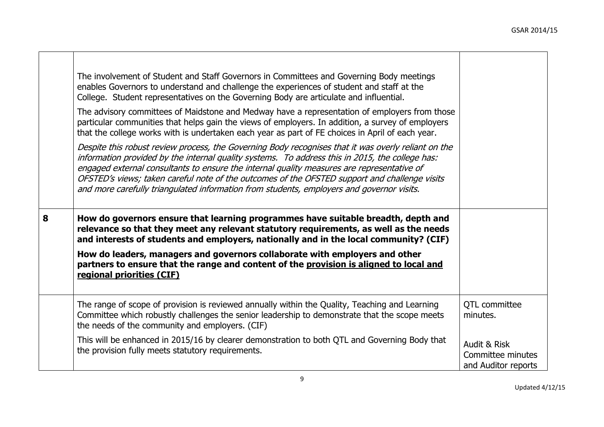|   | The involvement of Student and Staff Governors in Committees and Governing Body meetings<br>enables Governors to understand and challenge the experiences of student and staff at the<br>College. Student representatives on the Governing Body are articulate and influential.<br>The advisory committees of Maidstone and Medway have a representation of employers from those<br>particular communities that helps gain the views of employers. In addition, a survey of employers<br>that the college works with is undertaken each year as part of FE choices in April of each year.<br>Despite this robust review process, the Governing Body recognises that it was overly reliant on the<br>information provided by the internal quality systems. To address this in 2015, the college has:<br>engaged external consultants to ensure the internal quality measures are representative of<br>OFSTED's views; taken careful note of the outcomes of the OFSTED support and challenge visits<br>and more carefully triangulated information from students, employers and governor visits. |                                                          |
|---|-------------------------------------------------------------------------------------------------------------------------------------------------------------------------------------------------------------------------------------------------------------------------------------------------------------------------------------------------------------------------------------------------------------------------------------------------------------------------------------------------------------------------------------------------------------------------------------------------------------------------------------------------------------------------------------------------------------------------------------------------------------------------------------------------------------------------------------------------------------------------------------------------------------------------------------------------------------------------------------------------------------------------------------------------------------------------------------------------|----------------------------------------------------------|
| 8 | How do governors ensure that learning programmes have suitable breadth, depth and<br>relevance so that they meet any relevant statutory requirements, as well as the needs<br>and interests of students and employers, nationally and in the local community? (CIF)<br>How do leaders, managers and governors collaborate with employers and other<br>partners to ensure that the range and content of the provision is aligned to local and                                                                                                                                                                                                                                                                                                                                                                                                                                                                                                                                                                                                                                                    |                                                          |
|   | regional priorities (CIF)                                                                                                                                                                                                                                                                                                                                                                                                                                                                                                                                                                                                                                                                                                                                                                                                                                                                                                                                                                                                                                                                       |                                                          |
|   | The range of scope of provision is reviewed annually within the Quality, Teaching and Learning<br>Committee which robustly challenges the senior leadership to demonstrate that the scope meets<br>the needs of the community and employers. (CIF)                                                                                                                                                                                                                                                                                                                                                                                                                                                                                                                                                                                                                                                                                                                                                                                                                                              | <b>QTL</b> committee<br>minutes.                         |
|   | This will be enhanced in 2015/16 by clearer demonstration to both QTL and Governing Body that<br>the provision fully meets statutory requirements.                                                                                                                                                                                                                                                                                                                                                                                                                                                                                                                                                                                                                                                                                                                                                                                                                                                                                                                                              | Audit & Risk<br>Committee minutes<br>and Auditor reports |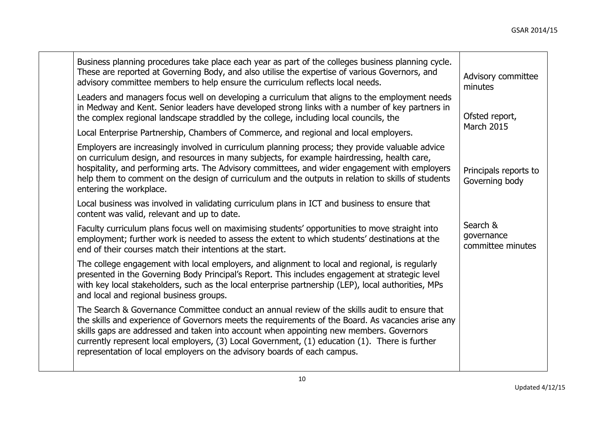| Business planning procedures take place each year as part of the colleges business planning cycle.<br>These are reported at Governing Body, and also utilise the expertise of various Governors, and<br>advisory committee members to help ensure the curriculum reflects local needs.                                                                                                                                                                                       | Advisory committee<br>minutes               |
|------------------------------------------------------------------------------------------------------------------------------------------------------------------------------------------------------------------------------------------------------------------------------------------------------------------------------------------------------------------------------------------------------------------------------------------------------------------------------|---------------------------------------------|
| Leaders and managers focus well on developing a curriculum that aligns to the employment needs<br>in Medway and Kent. Senior leaders have developed strong links with a number of key partners in<br>the complex regional landscape straddled by the college, including local councils, the                                                                                                                                                                                  | Ofsted report,<br><b>March 2015</b>         |
| Local Enterprise Partnership, Chambers of Commerce, and regional and local employers.                                                                                                                                                                                                                                                                                                                                                                                        |                                             |
| Employers are increasingly involved in curriculum planning process; they provide valuable advice<br>on curriculum design, and resources in many subjects, for example hairdressing, health care,<br>hospitality, and performing arts. The Advisory committees, and wider engagement with employers<br>help them to comment on the design of curriculum and the outputs in relation to skills of students<br>entering the workplace.                                          | Principals reports to<br>Governing body     |
| Local business was involved in validating curriculum plans in ICT and business to ensure that<br>content was valid, relevant and up to date.                                                                                                                                                                                                                                                                                                                                 |                                             |
| Faculty curriculum plans focus well on maximising students' opportunities to move straight into<br>employment; further work is needed to assess the extent to which students' destinations at the<br>end of their courses match their intentions at the start.                                                                                                                                                                                                               | Search &<br>governance<br>committee minutes |
| The college engagement with local employers, and alignment to local and regional, is regularly<br>presented in the Governing Body Principal's Report. This includes engagement at strategic level<br>with key local stakeholders, such as the local enterprise partnership (LEP), local authorities, MPs<br>and local and regional business groups.                                                                                                                          |                                             |
| The Search & Governance Committee conduct an annual review of the skills audit to ensure that<br>the skills and experience of Governors meets the requirements of the Board. As vacancies arise any<br>skills gaps are addressed and taken into account when appointing new members. Governors<br>currently represent local employers, (3) Local Government, (1) education (1). There is further<br>representation of local employers on the advisory boards of each campus. |                                             |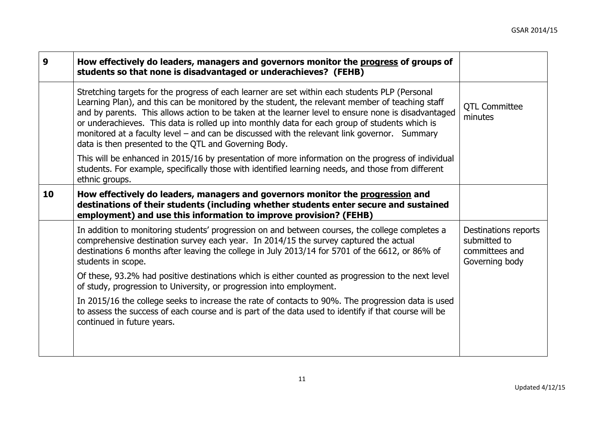| How effectively do leaders, managers and governors monitor the progress of groups of<br>students so that none is disadvantaged or underachieves? (FEHB)                                                                                                                                                                                                                                                                                                                                                                                                             |                                                                          |
|---------------------------------------------------------------------------------------------------------------------------------------------------------------------------------------------------------------------------------------------------------------------------------------------------------------------------------------------------------------------------------------------------------------------------------------------------------------------------------------------------------------------------------------------------------------------|--------------------------------------------------------------------------|
| Stretching targets for the progress of each learner are set within each students PLP (Personal<br>Learning Plan), and this can be monitored by the student, the relevant member of teaching staff<br>and by parents. This allows action to be taken at the learner level to ensure none is disadvantaged<br>or underachieves. This data is rolled up into monthly data for each group of students which is<br>monitored at a faculty level – and can be discussed with the relevant link governor. Summary<br>data is then presented to the QTL and Governing Body. | <b>QTL Committee</b><br>minutes                                          |
| This will be enhanced in 2015/16 by presentation of more information on the progress of individual<br>students. For example, specifically those with identified learning needs, and those from different<br>ethnic groups.                                                                                                                                                                                                                                                                                                                                          |                                                                          |
| How effectively do leaders, managers and governors monitor the progression and<br>destinations of their students (including whether students enter secure and sustained<br>employment) and use this information to improve provision? (FEHB)                                                                                                                                                                                                                                                                                                                        |                                                                          |
| In addition to monitoring students' progression on and between courses, the college completes a<br>comprehensive destination survey each year. In 2014/15 the survey captured the actual<br>destinations 6 months after leaving the college in July 2013/14 for 5701 of the 6612, or 86% of<br>students in scope.                                                                                                                                                                                                                                                   | Destinations reports<br>submitted to<br>committees and<br>Governing body |
| Of these, 93.2% had positive destinations which is either counted as progression to the next level<br>of study, progression to University, or progression into employment.                                                                                                                                                                                                                                                                                                                                                                                          |                                                                          |
| In 2015/16 the college seeks to increase the rate of contacts to 90%. The progression data is used<br>to assess the success of each course and is part of the data used to identify if that course will be<br>continued in future years.                                                                                                                                                                                                                                                                                                                            |                                                                          |
|                                                                                                                                                                                                                                                                                                                                                                                                                                                                                                                                                                     |                                                                          |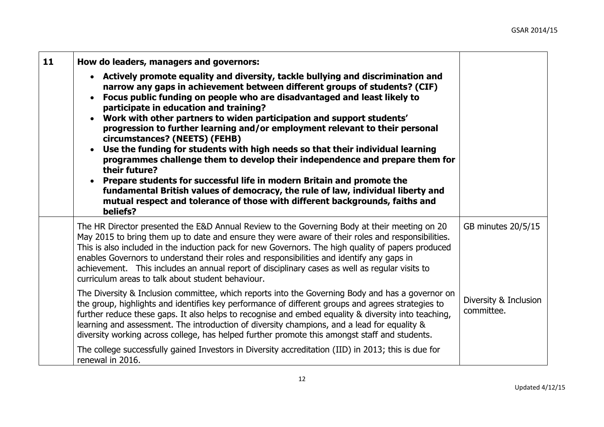| 11 | How do leaders, managers and governors:                                                                                                                                                                                                                                                                                                                                                                                                                                                                                                                                                                                                                                                                                                                                                                                                                                                                                                   |                                     |
|----|-------------------------------------------------------------------------------------------------------------------------------------------------------------------------------------------------------------------------------------------------------------------------------------------------------------------------------------------------------------------------------------------------------------------------------------------------------------------------------------------------------------------------------------------------------------------------------------------------------------------------------------------------------------------------------------------------------------------------------------------------------------------------------------------------------------------------------------------------------------------------------------------------------------------------------------------|-------------------------------------|
|    | • Actively promote equality and diversity, tackle bullying and discrimination and<br>narrow any gaps in achievement between different groups of students? (CIF)<br>Focus public funding on people who are disadvantaged and least likely to<br>participate in education and training?<br>Work with other partners to widen participation and support students'<br>$\bullet$<br>progression to further learning and/or employment relevant to their personal<br>circumstances? (NEETS) (FEHB)<br>Use the funding for students with high needs so that their individual learning<br>programmes challenge them to develop their independence and prepare them for<br>their future?<br>Prepare students for successful life in modern Britain and promote the<br>fundamental British values of democracy, the rule of law, individual liberty and<br>mutual respect and tolerance of those with different backgrounds, faiths and<br>beliefs? |                                     |
|    | The HR Director presented the E&D Annual Review to the Governing Body at their meeting on 20<br>May 2015 to bring them up to date and ensure they were aware of their roles and responsibilities.<br>This is also included in the induction pack for new Governors. The high quality of papers produced<br>enables Governors to understand their roles and responsibilities and identify any gaps in<br>achievement. This includes an annual report of disciplinary cases as well as regular visits to<br>curriculum areas to talk about student behaviour.                                                                                                                                                                                                                                                                                                                                                                               | GB minutes 20/5/15                  |
|    | The Diversity & Inclusion committee, which reports into the Governing Body and has a governor on<br>the group, highlights and identifies key performance of different groups and agrees strategies to<br>further reduce these gaps. It also helps to recognise and embed equality & diversity into teaching,<br>learning and assessment. The introduction of diversity champions, and a lead for equality &<br>diversity working across college, has helped further promote this amongst staff and students.                                                                                                                                                                                                                                                                                                                                                                                                                              | Diversity & Inclusion<br>committee. |
|    | The college successfully gained Investors in Diversity accreditation (IID) in 2013; this is due for<br>renewal in 2016.                                                                                                                                                                                                                                                                                                                                                                                                                                                                                                                                                                                                                                                                                                                                                                                                                   |                                     |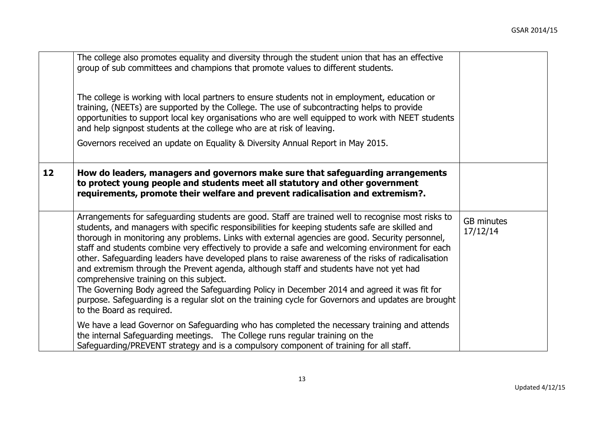|    | The college also promotes equality and diversity through the student union that has an effective<br>group of sub committees and champions that promote values to different students.<br>The college is working with local partners to ensure students not in employment, education or<br>training, (NEETs) are supported by the College. The use of subcontracting helps to provide<br>opportunities to support local key organisations who are well equipped to work with NEET students<br>and help signpost students at the college who are at risk of leaving.<br>Governors received an update on Equality & Diversity Annual Report in May 2015.                                                                                                                                                                                                                                        |                               |
|----|---------------------------------------------------------------------------------------------------------------------------------------------------------------------------------------------------------------------------------------------------------------------------------------------------------------------------------------------------------------------------------------------------------------------------------------------------------------------------------------------------------------------------------------------------------------------------------------------------------------------------------------------------------------------------------------------------------------------------------------------------------------------------------------------------------------------------------------------------------------------------------------------|-------------------------------|
| 12 | How do leaders, managers and governors make sure that safeguarding arrangements<br>to protect young people and students meet all statutory and other government<br>requirements, promote their welfare and prevent radicalisation and extremism?.                                                                                                                                                                                                                                                                                                                                                                                                                                                                                                                                                                                                                                           |                               |
|    | Arrangements for safeguarding students are good. Staff are trained well to recognise most risks to<br>students, and managers with specific responsibilities for keeping students safe are skilled and<br>thorough in monitoring any problems. Links with external agencies are good. Security personnel,<br>staff and students combine very effectively to provide a safe and welcoming environment for each<br>other. Safeguarding leaders have developed plans to raise awareness of the risks of radicalisation<br>and extremism through the Prevent agenda, although staff and students have not yet had<br>comprehensive training on this subject.<br>The Governing Body agreed the Safeguarding Policy in December 2014 and agreed it was fit for<br>purpose. Safeguarding is a regular slot on the training cycle for Governors and updates are brought<br>to the Board as required. | <b>GB</b> minutes<br>17/12/14 |
|    | We have a lead Governor on Safeguarding who has completed the necessary training and attends<br>the internal Safeguarding meetings. The College runs regular training on the<br>Safeguarding/PREVENT strategy and is a compulsory component of training for all staff.                                                                                                                                                                                                                                                                                                                                                                                                                                                                                                                                                                                                                      |                               |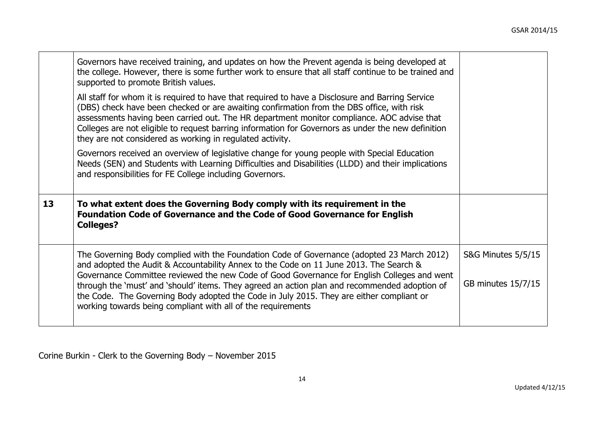|    | Governors have received training, and updates on how the Prevent agenda is being developed at<br>the college. However, there is some further work to ensure that all staff continue to be trained and<br>supported to promote British values.                                                                                                                                                                                                                  |                    |
|----|----------------------------------------------------------------------------------------------------------------------------------------------------------------------------------------------------------------------------------------------------------------------------------------------------------------------------------------------------------------------------------------------------------------------------------------------------------------|--------------------|
|    | All staff for whom it is required to have that required to have a Disclosure and Barring Service<br>(DBS) check have been checked or are awaiting confirmation from the DBS office, with risk<br>assessments having been carried out. The HR department monitor compliance. AOC advise that<br>Colleges are not eligible to request barring information for Governors as under the new definition<br>they are not considered as working in regulated activity. |                    |
|    | Governors received an overview of legislative change for young people with Special Education<br>Needs (SEN) and Students with Learning Difficulties and Disabilities (LLDD) and their implications<br>and responsibilities for FE College including Governors.                                                                                                                                                                                                 |                    |
| 13 | To what extent does the Governing Body comply with its requirement in the<br><b>Foundation Code of Governance and the Code of Good Governance for English</b><br><b>Colleges?</b>                                                                                                                                                                                                                                                                              |                    |
|    | The Governing Body complied with the Foundation Code of Governance (adopted 23 March 2012)<br>and adopted the Audit & Accountability Annex to the Code on 11 June 2013. The Search &<br>Governance Committee reviewed the new Code of Good Governance for English Colleges and went                                                                                                                                                                            | S&G Minutes 5/5/15 |
|    | through the 'must' and 'should' items. They agreed an action plan and recommended adoption of<br>the Code. The Governing Body adopted the Code in July 2015. They are either compliant or<br>working towards being compliant with all of the requirements                                                                                                                                                                                                      | GB minutes 15/7/15 |

Corine Burkin - Clerk to the Governing Body – November 2015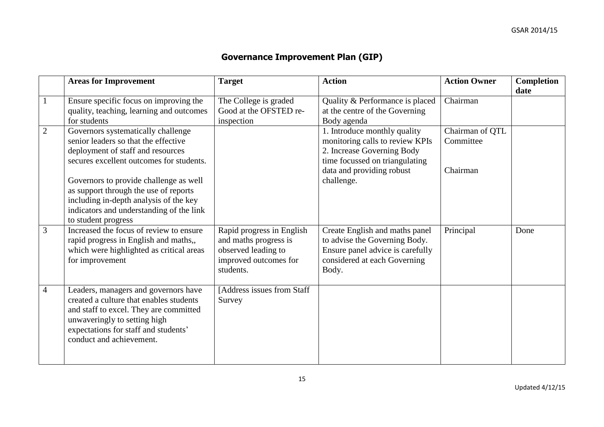## **Governance Improvement Plan (GIP)**

|                | <b>Areas for Improvement</b>                                                                                                                                                                                                  | <b>Target</b>                                                                                                   | <b>Action</b>                                                                                                                                | <b>Action Owner</b>          | <b>Completion</b><br>date |
|----------------|-------------------------------------------------------------------------------------------------------------------------------------------------------------------------------------------------------------------------------|-----------------------------------------------------------------------------------------------------------------|----------------------------------------------------------------------------------------------------------------------------------------------|------------------------------|---------------------------|
| -1             | Ensure specific focus on improving the<br>quality, teaching, learning and outcomes<br>for students                                                                                                                            | The College is graded<br>Good at the OFSTED re-<br>inspection                                                   | Quality & Performance is placed<br>at the centre of the Governing<br>Body agenda                                                             | Chairman                     |                           |
| $\overline{2}$ | Governors systematically challenge<br>senior leaders so that the effective<br>deployment of staff and resources<br>secures excellent outcomes for students.                                                                   |                                                                                                                 | 1. Introduce monthly quality<br>monitoring calls to review KPIs<br>2. Increase Governing Body<br>time focussed on triangulating              | Chairman of QTL<br>Committee |                           |
|                | Governors to provide challenge as well<br>as support through the use of reports<br>including in-depth analysis of the key<br>indicators and understanding of the link<br>to student progress                                  |                                                                                                                 | data and providing robust<br>challenge.                                                                                                      | Chairman                     |                           |
| 3              | Increased the focus of review to ensure<br>rapid progress in English and maths,,<br>which were highlighted as critical areas<br>for improvement                                                                               | Rapid progress in English<br>and maths progress is<br>observed leading to<br>improved outcomes for<br>students. | Create English and maths panel<br>to advise the Governing Body.<br>Ensure panel advice is carefully<br>considered at each Governing<br>Body. | Principal                    | Done                      |
| $\overline{4}$ | Leaders, managers and governors have<br>created a culture that enables students<br>and staff to excel. They are committed<br>unwaveringly to setting high<br>expectations for staff and students'<br>conduct and achievement. | [Address issues from Staff<br>Survey                                                                            |                                                                                                                                              |                              |                           |